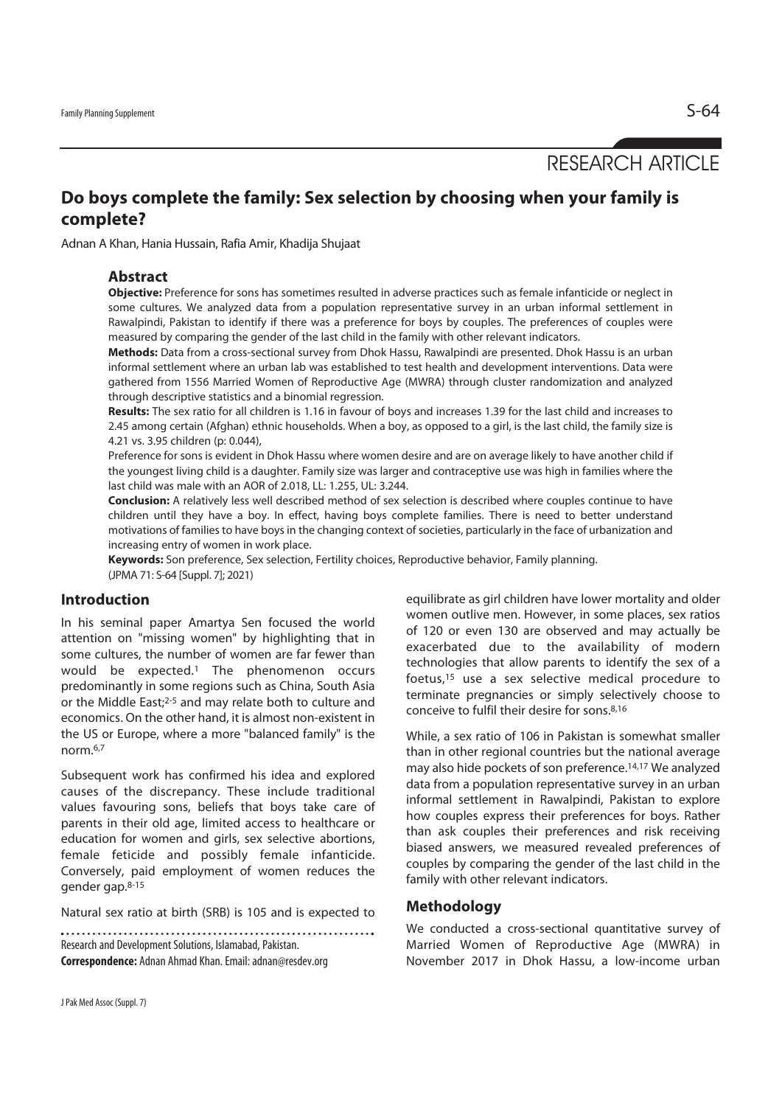RESEARCH ARTICLE

# **Do boys complete the family: Sex selection by choosing when your family is complete?**

Adnan A Khan, Hania Hussain, Rafia Amir, Khadija Shujaat

## **Abstract**

**Objective:** Preference for sons has sometimes resulted in adverse practices such as female infanticide or neglect in some cultures. We analyzed data from a population representative survey in an urban informal settlement in Rawalpindi, Pakistan to identify if there was a preference for boys by couples. The preferences of couples were measured by comparing the gender of the last child in the family with other relevant indicators.

**Methods:** Data from a cross-sectional survey from Dhok Hassu, Rawalpindi are presented. Dhok Hassu is an urban informal settlement where an urban lab was established to test health and development interventions. Data were gathered from 1556 Married Women of Reproductive Age (MWRA) through cluster randomization and analyzed through descriptive statistics and a binomial regression.

**Results:** The sex ratio for all children is 1.16 in favour of boys and increases 1.39 for the last child and increases to 2.45 among certain (Afghan) ethnic households. When a boy, as opposed to a girl, is the last child, the family size is 4.21 vs. 3.95 children (p: 0.044),

Preference for sons is evident in Dhok Hassu where women desire and are on average likely to have another child if the youngest living child is a daughter. Family size was larger and contraceptive use was high in families where the last child was male with an AOR of 2.018, LL: 1.255, UL: 3.244.

**Conclusion:** A relatively less well described method of sex selection is described where couples continue to have children until they have a boy. In effect, having boys complete families. There is need to better understand motivations of families to have boys in the changing context of societies, particularly in the face of urbanization and increasing entry of women in work place.

**Keywords:** Son preference, Sex selection, Fertility choices, Reproductive behavior, Family planning. (JPMA 71: S-64 [Suppl. 7]; 2021)

## **Introduction**

In his seminal paper Amartya Sen focused the world attention on "missing women" by highlighting that in some cultures, the number of women are far fewer than would be expected.1 The phenomenon occurs predominantly in some regions such as China, South Asia or the Middle East;2-5 and may relate both to culture and economics. On the other hand, it is almost non-existent in the US or Europe, where a more "balanced family" is the norm.6,7

Subsequent work has confirmed his idea and explored causes of the discrepancy. These include traditional values favouring sons, beliefs that boys take care of parents in their old age, limited access to healthcare or education for women and girls, sex selective abortions, female feticide and possibly female infanticide. Conversely, paid employment of women reduces the gender gap.8-15

Natural sex ratio at birth (SRB) is 105 and is expected to

Research and Development Solutions, Islamabad, Pakistan. **Correspondence:** Adnan Ahmad Khan. Email: adnan@resdev.org equilibrate as girl children have lower mortality and older women outlive men. However, in some places, sex ratios of 120 or even 130 are observed and may actually be exacerbated due to the availability of modern technologies that allow parents to identify the sex of a foetus,15 use a sex selective medical procedure to terminate pregnancies or simply selectively choose to conceive to fulfil their desire for sons.8,16

While, a sex ratio of 106 in Pakistan is somewhat smaller than in other regional countries but the national average may also hide pockets of son preference.14,17 We analyzed data from a population representative survey in an urban informal settlement in Rawalpindi, Pakistan to explore how couples express their preferences for boys. Rather than ask couples their preferences and risk receiving biased answers, we measured revealed preferences of couples by comparing the gender of the last child in the family with other relevant indicators.

## **Methodology**

We conducted a cross-sectional quantitative survey of Married Women of Reproductive Age (MWRA) in November 2017 in Dhok Hassu, a low-income urban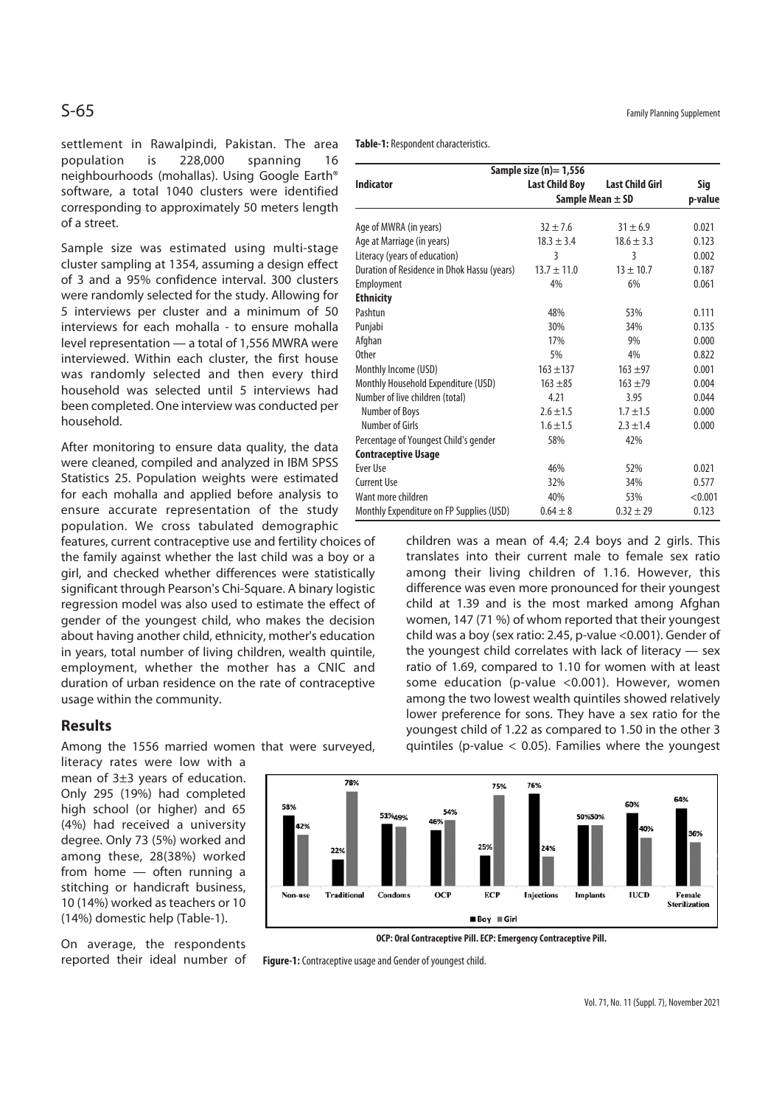settlement in Rawalpindi, Pakistan. The area population is 228,000 spanning 16 neighbourhoods (mohallas). Using Google Earth® software, a total 1040 clusters were identified corresponding to approximately 50 meters length of a street.

Sample size was estimated using multi-stage cluster sampling at 1354, assuming a design effect of 3 and a 95% confidence interval. 300 clusters were randomly selected for the study. Allowing for 5 interviews per cluster and a minimum of 50 interviews for each mohalla - to ensure mohalla level representation — a total of 1,556 MWRA were interviewed. Within each cluster, the first house was randomly selected and then every third household was selected until 5 interviews had been completed. One interview was conducted per household.

After monitoring to ensure data quality, the data were cleaned, compiled and analyzed in IBM SPSS Statistics 25. Population weights were estimated for each mohalla and applied before analysis to ensure accurate representation of the study population. We cross tabulated demographic

features, current contraceptive use and fertility choices of the family against whether the last child was a boy or a girl, and checked whether differences were statistically significant through Pearson's Chi-Square. A binary logistic regression model was also used to estimate the effect of gender of the youngest child, who makes the decision about having another child, ethnicity, mother's education in years, total number of living children, wealth quintile, employment, whether the mother has a CNIC and duration of urban residence on the rate of contraceptive usage within the community.

### **Results**

Among the 1556 married women that were surveyed,

literacy rates were low with a mean of 3±3 years of education. Only 295 (19%) had completed high school (or higher) and 65 (4%) had received a university degree. Only 73 (5%) worked and among these, 28(38%) worked from home — often running a stitching or handicraft business, 10 (14%) worked as teachers or 10 (14%) domestic help (Table-1).

On average, the respondents reported their ideal number of **Table-1:** Respondent characteristics.

| Sample size $(n)=1,556$                     |                       |                        |         |
|---------------------------------------------|-----------------------|------------------------|---------|
| <b>Indicator</b>                            | <b>Last Child Boy</b> | <b>Last Child Girl</b> | Sig     |
|                                             | Sample Mean $\pm$ SD  |                        | p-value |
|                                             | $32 \pm 7.6$          | $31 \pm 6.9$           | 0.021   |
| Age of MWRA (in years)                      |                       |                        |         |
| Age at Marriage (in years)                  | $18.3 \pm 3.4$        | $18.6 \pm 3.3$         | 0.123   |
| Literacy (years of education)               | 3                     | 3                      | 0.002   |
| Duration of Residence in Dhok Hassu (years) | $13.7 \pm 11.0$       | $13 \pm 10.7$          | 0.187   |
| Employment                                  | 4%                    | 6%                     | 0.061   |
| <b>Ethnicity</b>                            |                       |                        |         |
| Pashtun                                     | 48%                   | 53%                    | 0.111   |
| Punjabi                                     | 30%                   | 34%                    | 0.135   |
| Afghan                                      | 17%                   | 9%                     | 0.000   |
| <b>Other</b>                                | 5%                    | 4%                     | 0.822   |
| Monthly Income (USD)                        | $163 + 137$           | $163 + 97$             | 0.001   |
| Monthly Household Expenditure (USD)         | $163 + 85$            | $163 + 79$             | 0.004   |
| Number of live children (total)             | 4.21                  | 3.95                   | 0.044   |
| Number of Boys                              | $2.6 \pm 1.5$         | $1.7 \pm 1.5$          | 0.000   |
| Number of Girls                             | $1.6 \pm 1.5$         | $2.3 \pm 1.4$          | 0.000   |
| Percentage of Youngest Child's gender       | 58%                   | 42%                    |         |
| <b>Contraceptive Usage</b>                  |                       |                        |         |
| Ever Use                                    | 46%                   | 52%                    | 0.021   |
| <b>Current Use</b>                          | 32%                   | 34%                    | 0.577   |
| Want more children                          | 40%                   | 53%                    | < 0.001 |
| Monthly Expenditure on FP Supplies (USD)    | $0.64 \pm 8$          | $0.32 \pm 29$          | 0.123   |

children was a mean of 4.4; 2.4 boys and 2 girls. This translates into their current male to female sex ratio among their living children of 1.16. However, this difference was even more pronounced for their youngest child at 1.39 and is the most marked among Afghan women, 147 (71 %) of whom reported that their youngest child was a boy (sex ratio: 2.45, p-value <0.001). Gender of the youngest child correlates with lack of literacy — sex ratio of 1.69, compared to 1.10 for women with at least some education (p-value <0.001). However, women among the two lowest wealth quintiles showed relatively lower preference for sons. They have a sex ratio for the youngest child of 1.22 as compared to 1.50 in the other 3 quintiles (p-value < 0.05). Families where the youngest



**OCP: Oral Contraceptive Pill. ECP: Emergency Contraceptive Pill.** 

**Figure-1:** Contraceptive usage and Gender of youngest child.